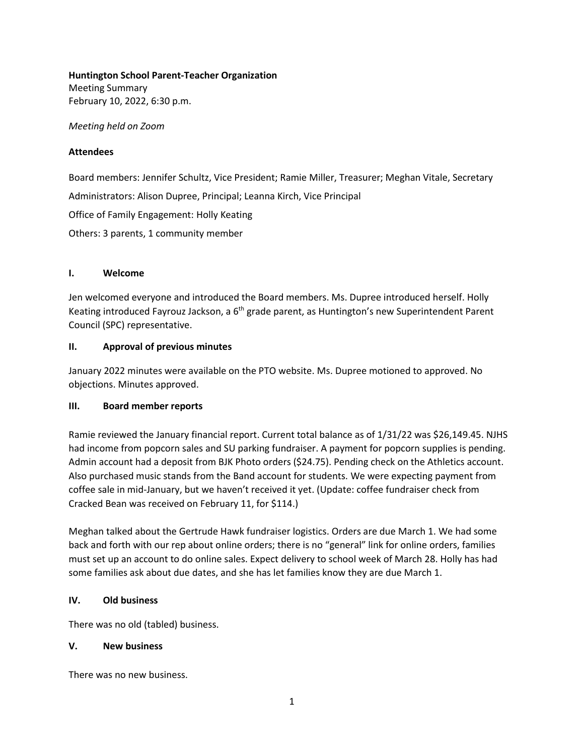**Huntington School Parent-Teacher Organization** 

Meeting Summary February 10, 2022, 6:30 p.m.

*Meeting held on Zoom* 

#### **Attendees**

Board members: Jennifer Schultz, Vice President; Ramie Miller, Treasurer; Meghan Vitale, Secretary Administrators: Alison Dupree, Principal; Leanna Kirch, Vice Principal Office of Family Engagement: Holly Keating Others: 3 parents, 1 community member

# **I. Welcome**

Jen welcomed everyone and introduced the Board members. Ms. Dupree introduced herself. Holly Keating introduced Fayrouz Jackson, a 6<sup>th</sup> grade parent, as Huntington's new Superintendent Parent Council (SPC) representative.

#### **II. Approval of previous minutes**

January 2022 minutes were available on the PTO website. Ms. Dupree motioned to approved. No objections. Minutes approved.

# **III. Board member reports**

Ramie reviewed the January financial report. Current total balance as of 1/31/22 was \$26,149.45. NJHS had income from popcorn sales and SU parking fundraiser. A payment for popcorn supplies is pending. Admin account had a deposit from BJK Photo orders (\$24.75). Pending check on the Athletics account. Also purchased music stands from the Band account for students. We were expecting payment from coffee sale in mid-January, but we haven't received it yet. (Update: coffee fundraiser check from Cracked Bean was received on February 11, for \$114.)

Meghan talked about the Gertrude Hawk fundraiser logistics. Orders are due March 1. We had some back and forth with our rep about online orders; there is no "general" link for online orders, families must set up an account to do online sales. Expect delivery to school week of March 28. Holly has had some families ask about due dates, and she has let families know they are due March 1.

# **IV. Old business**

There was no old (tabled) business.

#### **V. New business**

There was no new business.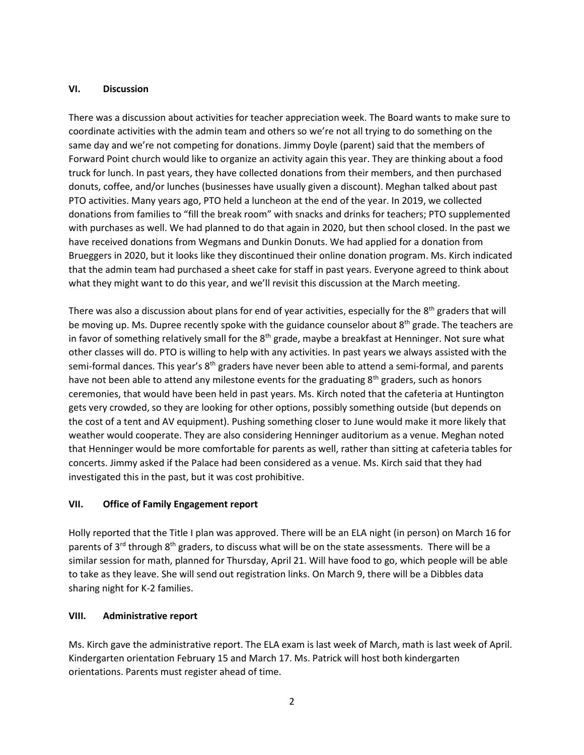#### **VI. Discussion**

There was a discussion about activities for teacher appreciation week. The Board wants to make sure to coordinate activities with the admin team and others so we're not all trying to do something on the same day and we're not competing for donations. Jimmy Doyle (parent) said that the members of Forward Point church would like to organize an activity again this year. They are thinking about a food truck for lunch. In past years, they have collected donations from their members, and then purchased donuts, coffee, and/or lunches (businesses have usually given a discount). Meghan talked about past PTO activities. Many years ago, PTO held a luncheon at the end of the year. In 2019, we collected donations from families to "fill the break room" with snacks and drinks for teachers; PTO supplemented with purchases as well. We had planned to do that again in 2020, but then school closed. In the past we have received donations from Wegmans and Dunkin Donuts. We had applied for a donation from Brueggers in 2020, but it looks like they discontinued their online donation program. Ms. Kirch indicated that the admin team had purchased a sheet cake for staff in past years. Everyone agreed to think about what they might want to do this year, and we'll revisit this discussion at the March meeting.

There was also a discussion about plans for end of year activities, especially for the 8<sup>th</sup> graders that will be moving up. Ms. Dupree recently spoke with the guidance counselor about 8<sup>th</sup> grade. The teachers are in favor of something relatively small for the  $8<sup>th</sup>$  grade, maybe a breakfast at Henninger. Not sure what other classes will do. PTO is willing to help with any activities. In past years we always assisted with the semi-formal dances. This year's 8<sup>th</sup> graders have never been able to attend a semi-formal, and parents have not been able to attend any milestone events for the graduating  $8<sup>th</sup>$  graders, such as honors ceremonies, that would have been held in past years. Ms. Kirch noted that the cafeteria at Huntington gets very crowded, so they are looking for other options, possibly something outside (but depends on the cost of a tent and AV equipment). Pushing something closer to June would make it more likely that weather would cooperate. They are also considering Henninger auditorium as a venue. Meghan noted that Henninger would be more comfortable for parents as well, rather than sitting at cafeteria tables for concerts. Jimmy asked if the Palace had been considered as a venue. Ms. Kirch said that they had investigated this in the past, but it was cost prohibitive.

# **VII. Office of Family Engagement report**

Holly reported that the Title I plan was approved. There will be an ELA night (in person) on March 16 for parents of  $3^{rd}$  through  $8^{th}$  graders, to discuss what will be on the state assessments. There will be a similar session for math, planned for Thursday, April 21. Will have food to go, which people will be able to take as they leave. She will send out registration links. On March 9, there will be a Dibbles data sharing night for K-2 families.

# **VIII. Administrative report**

Ms. Kirch gave the administrative report. The ELA exam is last week of March, math is last week of April. Kindergarten orientation February 15 and March 17. Ms. Patrick will host both kindergarten orientations. Parents must register ahead of time.